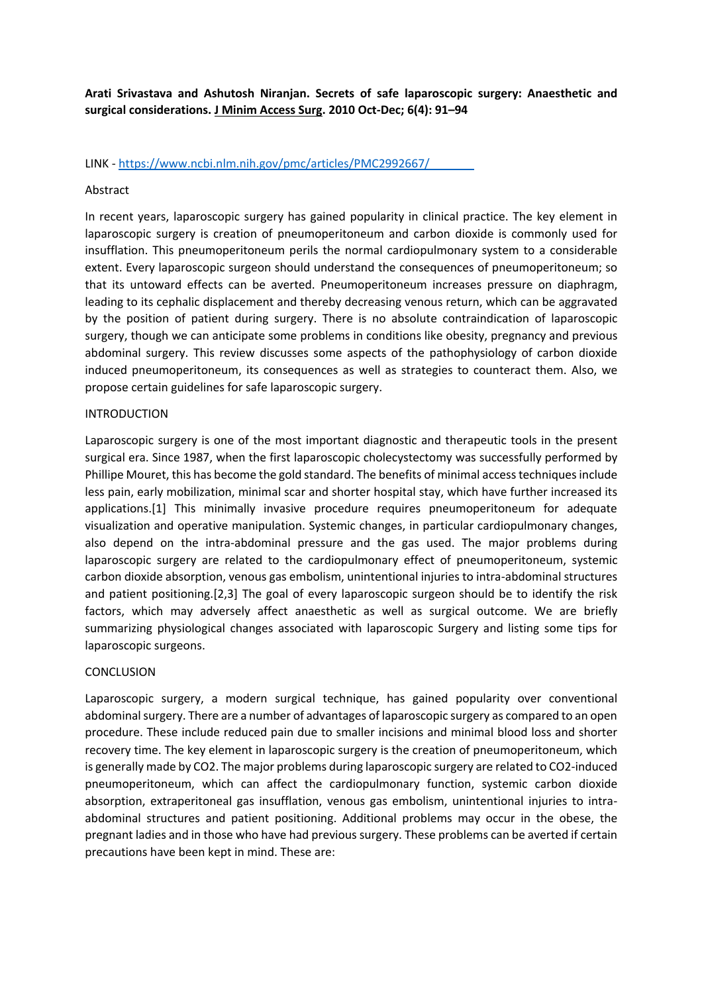**Arati Srivastava and Ashutosh Niranjan. Secrets of safe laparoscopic surgery: Anaesthetic and surgical considerations. J Minim Access Surg. 2010 Oct-Dec; 6(4): 91–94**

LINK - https://www.ncbi.nlm.nih.gov/pmc/articles/PMC2992667/

## Abstract

In recent years, laparoscopic surgery has gained popularity in clinical practice. The key element in laparoscopic surgery is creation of pneumoperitoneum and carbon dioxide is commonly used for insufflation. This pneumoperitoneum perils the normal cardiopulmonary system to a considerable extent. Every laparoscopic surgeon should understand the consequences of pneumoperitoneum; so that its untoward effects can be averted. Pneumoperitoneum increases pressure on diaphragm, leading to its cephalic displacement and thereby decreasing venous return, which can be aggravated by the position of patient during surgery. There is no absolute contraindication of laparoscopic surgery, though we can anticipate some problems in conditions like obesity, pregnancy and previous abdominal surgery. This review discusses some aspects of the pathophysiology of carbon dioxide induced pneumoperitoneum, its consequences as well as strategies to counteract them. Also, we propose certain guidelines for safe laparoscopic surgery.

## INTRODUCTION

Laparoscopic surgery is one of the most important diagnostic and therapeutic tools in the present surgical era. Since 1987, when the first laparoscopic cholecystectomy was successfully performed by Phillipe Mouret, this has become the gold standard. The benefits of minimal access techniques include less pain, early mobilization, minimal scar and shorter hospital stay, which have further increased its applications.[1] This minimally invasive procedure requires pneumoperitoneum for adequate visualization and operative manipulation. Systemic changes, in particular cardiopulmonary changes, also depend on the intra-abdominal pressure and the gas used. The major problems during laparoscopic surgery are related to the cardiopulmonary effect of pneumoperitoneum, systemic carbon dioxide absorption, venous gas embolism, unintentional injuries to intra-abdominal structures and patient positioning.[2,3] The goal of every laparoscopic surgeon should be to identify the risk factors, which may adversely affect anaesthetic as well as surgical outcome. We are briefly summarizing physiological changes associated with laparoscopic Surgery and listing some tips for laparoscopic surgeons.

## **CONCLUSION**

Laparoscopic surgery, a modern surgical technique, has gained popularity over conventional abdominal surgery. There are a number of advantages of laparoscopic surgery as compared to an open procedure. These include reduced pain due to smaller incisions and minimal blood loss and shorter recovery time. The key element in laparoscopic surgery is the creation of pneumoperitoneum, which is generally made by CO2. The major problems during laparoscopic surgery are related to CO2-induced pneumoperitoneum, which can affect the cardiopulmonary function, systemic carbon dioxide absorption, extraperitoneal gas insufflation, venous gas embolism, unintentional injuries to intraabdominal structures and patient positioning. Additional problems may occur in the obese, the pregnant ladies and in those who have had previous surgery. These problems can be averted if certain precautions have been kept in mind. These are: